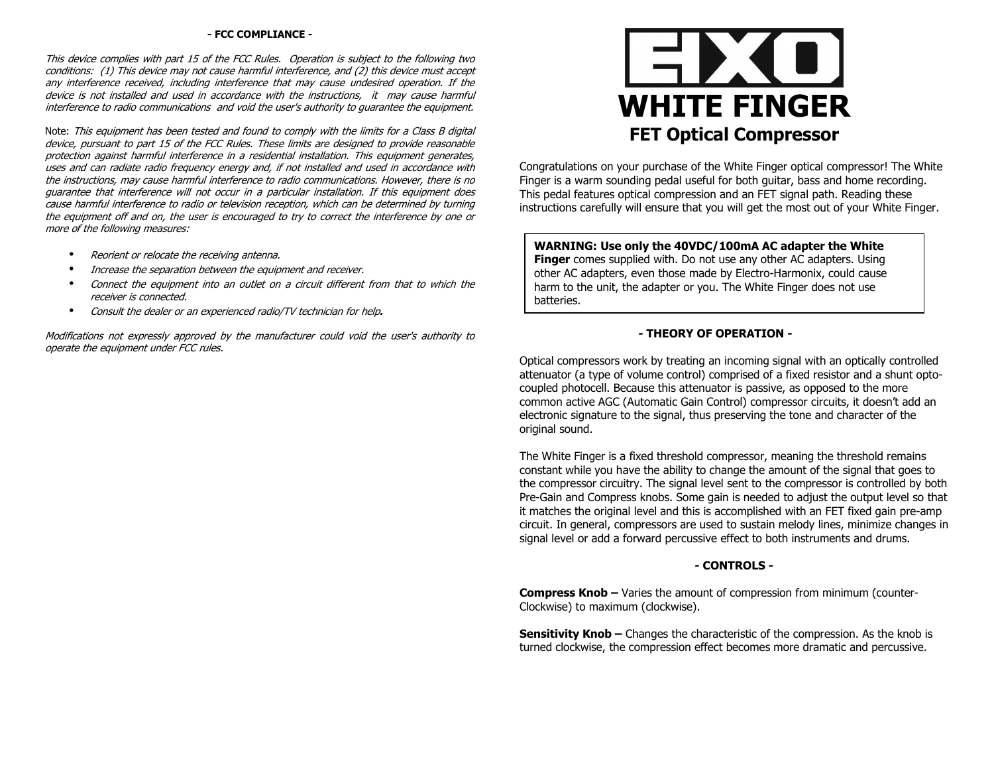### **- FCC COMPLIANCE -**

This device complies with part 15 of the FCC Rules. Operation is subject to the following two conditions: (1) This device may not cause harmful interference, and (2) this device must accept any interference received, including interference that may cause undesired operation. If the device is not installed and used in accordance with the instructions, it may cause harmful interference to radio communications and void the user's authority to guarantee the equipment.

Note: This equipment has been tested and found to comply with the limits for a Class B digital device, pursuant to part 15 of the FCC Rules. These limits are designed to provide reasonable protection against harmful interference in a residential installation. This equipment generates, uses and can radiate radio frequency energy and, if not installed and used in accordance with the instructions, may cause harmful interference to radio communications. However, there is no guarantee that interference will not occur in a particular installation. If this equipment does cause harmful interference to radio or television reception, which can be determined by turning the equipment off and on, the user is encouraged to try to correct the interference by one or more of the following measures:

- •Reorient or relocate the receiving antenna.
- •Increase the separation between the equipment and receiver.
- • Connect the equipment into an outlet on a circuit different from that to which the receiver is connected.
- •Consult the dealer or an experienced radio/TV technician for help**.**

Modifications not expressly approved by the manufacturer could void the user's authority to operate the equipment under FCC rules.



Congratulations on your purchase of the White Finger optical compressor! The White Finger is a warm sounding pedal useful for both guitar, bass and home recording. This pedal features optical compression and an FET signal path. Reading these instructions carefully will ensure that you will get the most out of your White Finger.

#### **WARNING: Use only the 40VDC/100mA AC adapter the White Finger** comes supplied with. Do not use any other AC adapters. Using

 other AC adapters, even those made by Electro-Harmonix, could cause harm to the unit, the adapter or you. The White Finger does not use batteries.

## **- THEORY OF OPERATION -**

Optical compressors work by treating an incoming signal with an optically controlled attenuator (a type of volume control) comprised of a fixed resistor and a shunt optocoupled photocell. Because this attenuator is passive, as opposed to the more common active AGC (Automatic Gain Control) compressor circuits, it doesn't add an electronic signature to the signal, thus preserving the tone and character of the original sound.

The White Finger is a fixed threshold compressor, meaning the threshold remains constant while you have the ability to change the amount of the signal that goes to the compressor circuitry. The signal level sent to the compressor is controlled by both Pre-Gain and Compress knobs. Some gain is needed to adjust the output level so that it matches the original level and this is accomplished with an FET fixed gain pre-amp circuit. In general, compressors are used to sustain melody lines, minimize changes in signal level or add a forward percussive effect to both instruments and drums.

## **- CONTROLS -**

**Compress Knob –** Varies the amount of compression from minimum (counter-Clockwise) to maximum (clockwise).

**Sensitivity Knob –** Changes the characteristic of the compression. As the knob is turned clockwise, the compression effect becomes more dramatic and percussive.